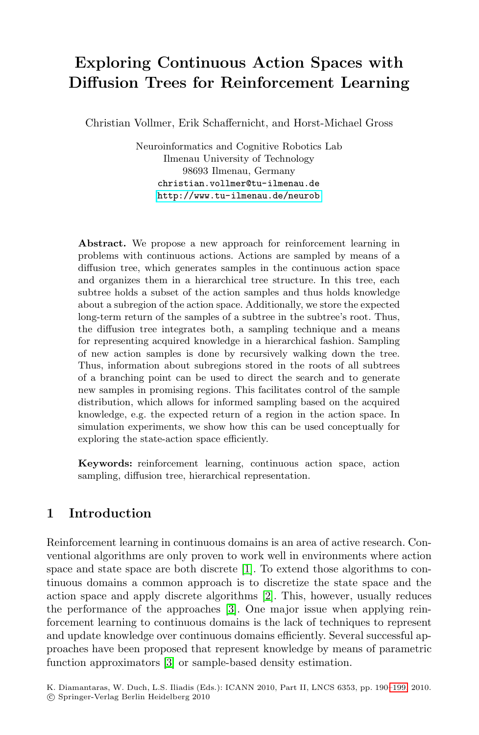# **Exploring Continuous Action Spaces with [Diffusion](http://www.tu-ilmenau.de/neurob) [Trees](http://www.tu-ilmenau.de/neurob) [for](http://www.tu-ilmenau.de/neurob) [R](http://www.tu-ilmenau.de/neurob)einforcement Learning**

Christian Vollmer, Erik Schaffernicht, and Horst-Michael Gross

Neuroinformatics and Cognitive Robotics Lab Ilmenau University of Technology 98693 Ilmenau, Germany christian.vollmer@tu-ilmenau.de http://www.tu-ilmenau.de/neurob

**Abstract.** We propose a new approach for reinforcement learning in problems with continuous actions. Actions are sampled by means of a diffusion tree, which generates samples in the continuous action space and organizes them in a hierarchical tree structure. In this tree, each subtree holds a subset of the action samples and thus holds knowledge about a subregion of the action space. Additionally, we store the expected long-term return of the samples of a subtree in the subtree's root. Thus, the diffusion tree integrates both, a sampling technique and a means for representing acquired knowledge in a hierarchical fashion. Sampling of new action samples is done by recursively walking down the tree. Thus, information about subregions stored in the roots of all subtrees of a branching point can be used to direct the search and to generate new samples in promising regions. This facilitates control of the sample distribution, which allows for informed sampling based on the acquired knowledge, e.g. the expected return of a region in the action space. In simulation experiments, we show how this can be used conceptually for exploring the state-action space efficiently.

**Keywords:** reinforcement learning, continuous action space, action sampling, diffusion tree, hierarchical representation.

### **1 Introduction**

Reinforcement learning in continuous domains is an area of active research. Conventional algorithms are only proven to work well in environments where action space and state space are both discrete [1]. To extend those algorithms to continuous domains a common approach is to discret[ize t](#page-9-0)he state space and the action space and apply discrete algorithms [2]. This, however, usually reduces the performance of the approaches [3]. One major issue when applying reinforcement learning to continuous domains is the lack of techniques to represent and update knowledge over continuous domains efficiently. Several successful approaches have been proposed that represent knowledge by means of parametric function approximators [3] or sample-based density estimation.

K. Diamantaras, W. Duch, L.S. Iliadis (Eds.): ICANN 2010, Part II, LNCS 6353, pp. 190–199, 2010. -c Springer-Verlag Berlin Heidelberg 2010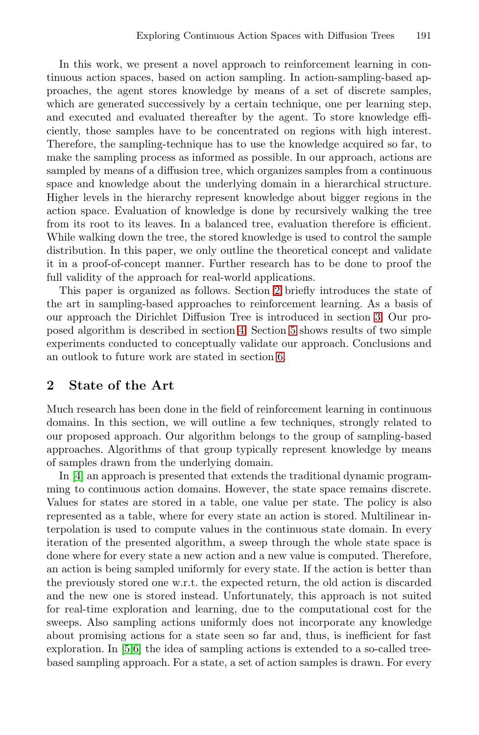In this work, we present a novel approach to reinforcement learning in continuous action spaces, based on action sampling. In action-sampling-based approaches, the agent stores knowledge by means of a set of discrete samples, which are generated successively by a certain technique, one per learning step, and executed and evaluated thereafter by the agent. To store knowledge efficiently, those samples have to be concentrated on regions with high interest. Therefore, the sampling-technique has to use the knowledge acquired so far, to make the sampling process as informed as possible. In our approach, actions are sampled by means of a diffusion tree, which organizes samples from a continuous space and knowledge about the underlying domain in a hierarchical structure. Higher levels in the hierarchy represent knowledge about bigger regions in the action space. Evaluation of knowledge is done by recursively walking the tree from its root to its leaves. In a balanced tree, evaluation therefore is efficient. While walking down the tree, the stored knowledge is used to control the sample distribution. In this paper, we only outline the theoretical concept and validate it in a proof-of-concept manner. Further research has to be done to proof the full validity of the approach for real-world applications.

This paper is organized as follows. Section 2 briefly introduces the state of the art in sampling-based approaches to reinforcement learning. As a basis of our approach the Dirichlet Diffusion Tree is introduced in section 3. Our proposed algorithm is described in section 4. Section 5 shows results of two simple experiments conducted to conceptually validate our approach. Conclusions and an outlook to future work are stated in section 6.

### **2 State of the Art**

Much research has been done in the field of reinforcement learning in continuous domains. In this section, we will outline a few techniques, strongly related to our proposed approach. Our algorithm belongs to the group of sampling-based approaches. Algorithms of that group typically represent knowledge by means of samples drawn from the underlying domain.

In [4] an approach is presented that extends the traditional dynamic programming to continuous action domains. However, the state space remains discrete. Values for states are stored in a table, one value per state. The policy is also represented as a table, where for every state an action is stored. Multilinear interpolation is used to compute values in the continuous state domain. In every iteration of the presented algorithm, a sweep through the whole state space is done where for every state a new action and a new value is computed. Therefore, an action is being sampled uniformly for every state. If the action is better than the previously stored one w.r.t. the expected return, the old action is discarded and the new one is stored instead. Unfortunately, this approach is not suited for real-time exploration and learning, due to the computational cost for the sweeps. Also sampling actions uniformly does not incorporate any knowledge about promising actions for a state seen so far and, thus, is inefficient for fast exploration. In [5,6] the idea of sampling actions is extended to a so-called treebased sampling approach. For a state, a set of action samples is drawn. For every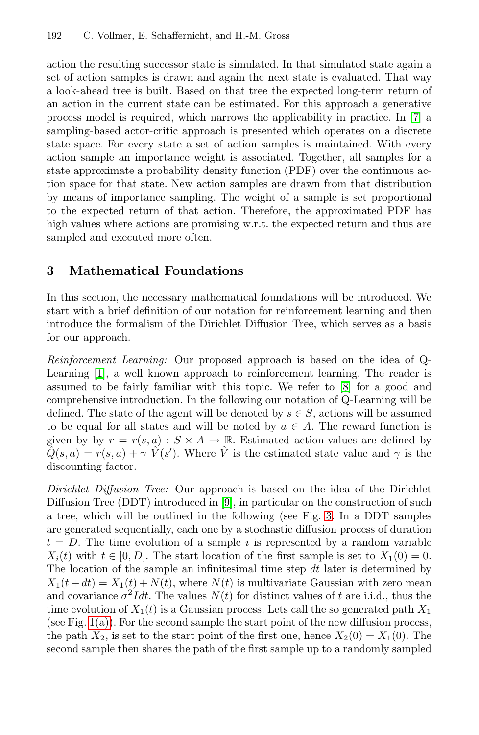#### 192 C. Vollmer, E. Schaffernicht, and H.-M. Gross

action the resulting successor state is simulated. In that simulated state again a set of action samples is drawn and again the next state is evaluated. That way a look-ahead tree is built. Based on that tree the expected long-term return of an action in the current state can be estimated. For this approach a generative process model is required, which narrows the applicability in practice. In [7] a sampling-based actor-critic approach is presented which operates on a discrete state space. For every state a set of action samples is maintained. With every action sample an importance weight is associated. Together, all samples for a state approximate a probability density function (PDF) over the continuous action space for that state. New action samples are drawn from that distribution by means of importance sampling. The weight of a sample is set proportional to the expected return of that action. Therefore, the approximated PDF has high values where actions are promising w.r.t. the expected return and thus are sampled and executed more often.

### **3 Mathematical Foundations**

In this section, the necessary mathematical foundations will be introduced. We start with a brief definition of our notation for reinforcement learning and then introduce the formalism of the Dirichlet Diffusion Tree, which serves as a basis for our approach.

*Reinforcement Learning:* Our proposed approach is based on the idea of Q-Learning [1], a well known approach to reinforcement learning. The reader is assumed to be fairly familiar with this topic. We refer to [8] for a good and comprehensive introduction. In the following our notation of Q-Learning will be defined. The state of the agent will be denoted by  $s \in S$ , actions will be assumed to be equal for all states and will be noted by  $a \in A$ . The reward function is given by by  $r = r(s, a) : S \times A \rightarrow \mathbb{R}$ . Estimated action-values are defined by  $\hat{Q}(s, a) = r(s, a) + \gamma \hat{V}(s')$ . Where  $\hat{V}$  is the estimated state value and  $\gamma$  is the discounting factor.

*Dirichlet Diffusion Tree:* Our approach is based on the idea of the Dirichlet Diffusion Tree (DDT) introduced in [9], in particular on the construction of such a tree, which will be outlined in the following (see Fig. 3. In a DDT samples are generated sequentially, each one by a stochastic diffusion process of duration  $t = D$ . The time evolution of a sample i is represented by a random variable  $X_i(t)$  with  $t \in [0, D]$ . The start location of the first sample is set to  $X_1(0) = 0$ . The location of the sample an infinitesimal time step dt later is determined by  $X_1(t + dt) = X_1(t) + N(t)$ , where  $N(t)$  is multivariate Gaussian with zero mean and covariance  $\sigma^2 I dt$ . The values  $N(t)$  for distinct values of t are i.i.d., thus the time evolution of  $X_1(t)$  is a Gaussian process. Lets call the so generated path  $X_1$ (see Fig.  $1(a)$ ). For the second sample the start point of the new diffusion process, the path  $X_2$ , is set to the start point of the first one, hence  $X_2(0) = X_1(0)$ . The second sample then shares the path of the first sample up to a randomly sampled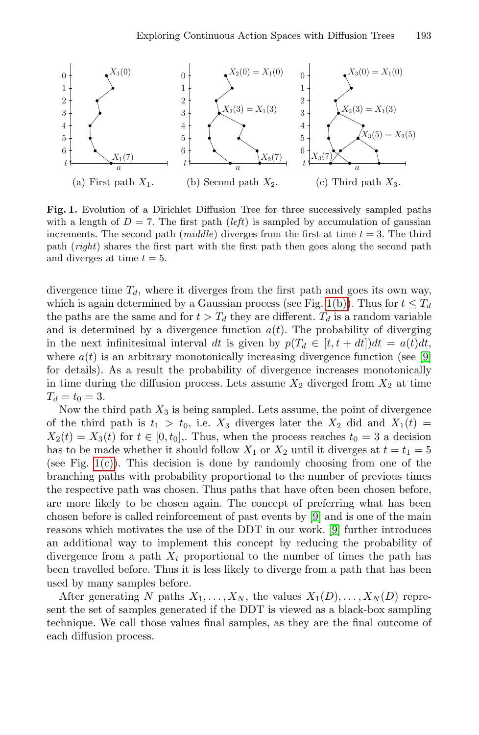

**Fig. 1.** Evolution of a Dirichlet Diffusion Tree for three successively sampled paths with a length of  $D = 7$ . The first path (*left*) is sampled by accumulation of gaussian increments. The second path  $(middle)$  diverges from the first at time  $t = 3$ . The third path (*right*) shares the first part with the first path then goes along the second path and diverges at time  $t = 5$ .

divergence time  $T_d$ , where it diverges from the first path and goes its own way, which is again determined by a Gaussian process (see Fig. 1(b)). Thus for  $t \leq T_d$ the paths are the same and for  $t>T_d$  they are different.  $T_d$  is a random variable and is determined by a divergence function  $a(t)$ . The probability of diverging in the next infinitesimal interval dt is given by  $p(T_d \in [t, t + dt])dt = a(t)dt$ , where  $a(t)$  is an arbitrary monotonically increasing divergence function (see [9] for details). As a result the probability of divergence increases monotonically in time during the diffusion process. Lets assume  $X_2$  diverged from  $X_2$  at time  $T_d = t_0 = 3.$ 

Now the third path  $X_3$  is being sampled. Lets assume, the point of divergence of the third path is  $t_1 > t_0$ , i.e.  $X_3$  diverges later the  $X_2$  did and  $X_1(t) =$  $X_2(t) = X_3(t)$  for  $t \in [0, t_0]$ . Thus, when the process reaches  $t_0 = 3$  a decision has to be made whether it should follow  $X_1$  or  $X_2$  until it diverges at  $t = t_1 = 5$ (see Fig.  $1(c)$ ). This decision is done by randomly choosing from one of the branching paths with probability proportional to the number of previous times the respective path was chosen. Thus paths that have often been chosen before, are more likely to be chosen again. The concept of preferring what has been chosen before is called reinforcement of past events by [9] and is one of the main reasons which motivates the use of the DDT in our work. [9] further introduces an additional way to implement this concept by reducing the probability of divergence from a path  $X_i$  proportional to the number of times the path has been travelled before. Thus it is less likely to diverge from a path that has been used by many samples before.

After generating N paths  $X_1, \ldots, X_N$ , the values  $X_1(D), \ldots, X_N(D)$  represent the set of samples generated if the DDT is viewed as a black-box sampling technique. We call those values final samples, as they are the final outcome of each diffusion process.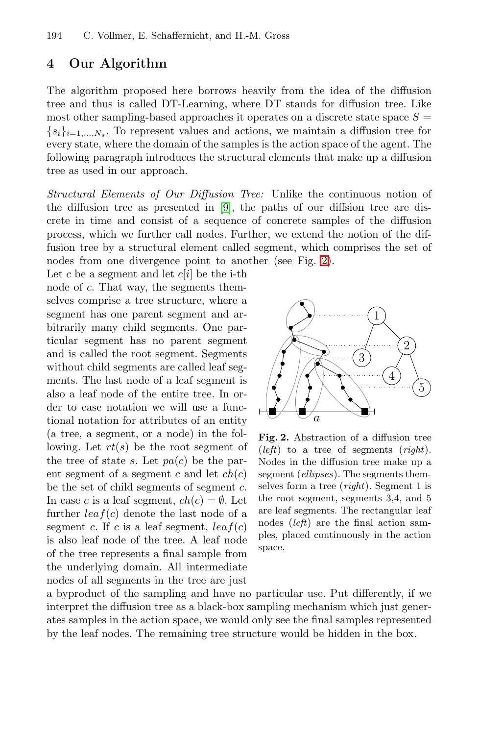### **4 Our Algorithm**

The algorithm proposed here borrows heavily from the idea of the diffusion tree and thus is called DT-Learning, where DT stands for diffusion tree. Like most other sampling-based approaches it operates on a discrete state space  $S =$  ${s_i}_{i=1,...,N_s}$ . To represent values and actions, we maintain a diffusion tree for every state, where the domain of the samples is the action space of the agent. The following paragraph introduces the structural elements that make up a diffusion tree as used in our approach.

*Structural Elements of Our Diffusion Tree:* Unlike the continuous notion of the diffusion tree as presented in [9], the paths of our diffsion tree are discrete in time and consist of a sequence of concrete samples of the diffusion process, which we further call nodes. Further, we extend the notion of the diffusion tree by a structural element called segment, which comprises the set of nodes from one divergence point to another (see Fig. 2).

Let c be a segment and let  $c[i]$  be the i-th node of c. That way, the segments themselves comprise a tree structure, where a segment has one parent segment and arbitrarily many child segments. One particular segment has no parent segment and is called the root segment. Segments without child segments are called leaf segments. The last node of a leaf segment is also a leaf node of the entire tree. In order to ease notation we will use a functional notation for attributes of an entity (a tree, a segment, or a node) in the following. Let  $rt(s)$  be the root segment of the tree of state s. Let  $pa(c)$  be the parent segment of a segment c and let  $ch(c)$ be the set of child segments of segment  $c$ . In case c is a leaf segment,  $ch(c) = \emptyset$ . Let further  $leaf(c)$  denote the last node of a segment c. If c is a leaf segment,  $leaf(c)$ is also leaf node of the tree. A leaf node of the tree represents a final sample from the underlying domain. All intermediate nodes of all segments in the tree are just



**Fig. 2.** Abstraction of a diffusion tree (*left*) to a tree of segments (*right*). Nodes in the diffusion tree make up a segment (*ellipses*). The segments themselves form a tree (*right*). Segment 1 is the root segment, segments 3,4, and 5 are leaf segments. The rectangular leaf nodes (*left*) are the final action samples, placed continuously in the action space.

a byproduct of the sampling and have no particular use. Put differently, if we interpret the diffusion tree as a black-box sampling mechanism which just generates samples in the action space, we would only see the final samples represented by the leaf nodes. The remaining tree structure would be hidden in the box.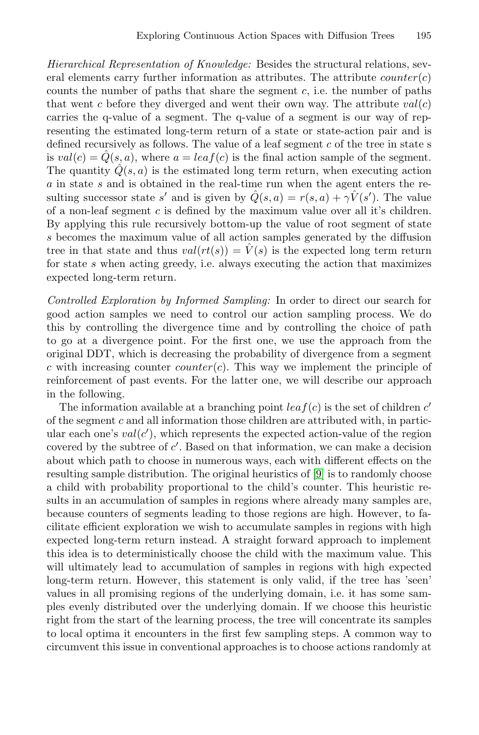*Hierarchical Representation of Knowledge:* Besides the structural relations, several elements carry further information as attributes. The attribute  $counter(c)$ counts the number of paths that share the segment  $c$ , i.e. the number of paths that went c before they diverged and went their own way. The attribute  $val(c)$ carries the q-value of a segment. The q-value of a segment is our way of representing the estimated long-term return of a state or state-action pair and is defined recursively as follows. The value of a leaf segment c of the tree in state s is  $val(c) = \hat{Q}(s, a)$ , where  $a = leaf(c)$  is the final action sample of the segment. The quantity  $\hat{Q}(s, a)$  is the estimated long term return, when executing action a in state s and is obtained in the real-time run when the agent enters the resulting successor state s' and is given by  $\hat{Q}(s, a) = r(s, a) + \gamma \hat{V}(s')$ . The value of a non-leaf segment  $c$  is defined by the maximum value over all it's children. By applying this rule recursively bottom-up the value of root segment of state s becomes the maximum value of all action samples generated by the diffusion tree in that state and thus  $val(rt(s)) = \hat{V}(s)$  is the expected long term return for state s when acting greedy, i.e. always executing the action that maximizes expected long-term return.

*Controlled Exploration by Informed Sampling:* In order to direct our search for good action samples we need to control our action sampling process. We do this by controlling the divergence time and by controlling the choice of path to go at a divergence point. For the first one, we use the approach from the original DDT, which is decreasing the probability of divergence from a segment c with increasing counter  $counter(c)$ . This way we implement the principle of reinforcement of past events. For the latter one, we will describe our approach in the following.

The information available at a branching point  $\text{leaf}(c)$  is the set of children  $c'$ of the segment  $c$  and all information those children are attributed with, in particular each one's  $val(c')$ , which represents the expected action-value of the region covered by the subtree of  $c'$ . Based on that information, we can make a decision about which path to choose in numerous ways, each with different effects on the resulting sample distribution. The original heuristics of [9] is to randomly choose a child with probability proportional to the child's counter. This heuristic results in an accumulation of samples in regions where already many samples are, because counters of segments leading to those regions are high. However, to facilitate efficient exploration we wish to accumulate samples in regions with high expected long-term return instead. A straight forward approach to implement this idea is to deterministically choose the child with the maximum value. This will ultimately lead to accumulation of samples in regions with high expected long-term return. However, this statement is only valid, if the tree has 'seen' values in all promising regions of the underlying domain, i.e. it has some samples evenly distributed over the underlying domain. If we choose this heuristic right from the start of the learning process, the tree will concentrate its samples to local optima it encounters in the first few sampling steps. A common way to circumvent this issue in conventional approaches is to choose actions randomly at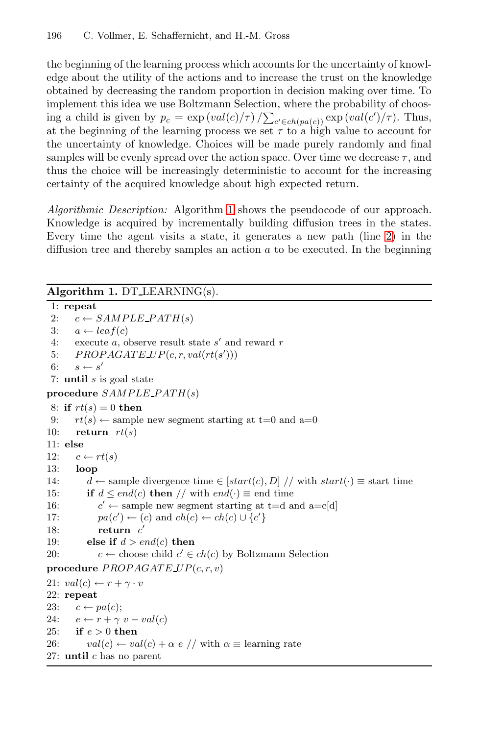#### 196 C. Vollmer, E. Schaffernicht, and H.-M. Gross

the beginning of the learning process which accounts for the uncertainty of knowledge about the utility of the actions and to increase the trust on the knowledge obtained by decreasing the random proportion in decision making over time. To implement this idea we use Boltzmann Selection, where the probability of choosing a child is given by  $p_c = \exp\left(\frac{val(c)}{\tau}\right) / \sum_{c' \in ch(pa(c))} \exp\left(\frac{val(c')}{\tau}\right)$ . Thus, at the beginning of the learning process we set  $\tau$  to a high value to account for the uncertainty of knowledge. Choices will be made purely randomly and final samples will be evenly spread over the action space. Over time we decrease  $\tau$ , and thus the choice will be increasingly deterministic to account for the increasing certainty of the acquired knowledge about high expected return.

*Algorithmic Description:* Algorithm 1 shows the pseudocode of our approach. Knowledge is acquired by incrementally building diffusion trees in the states. Every time the agent visits a state, it generates a new path (line 2) in the diffusion tree and thereby samples an action  $a$  to be executed. In the beginning

### **Algorithm 1.** DT LEARNING(s).

```
1: repeat
2: c \leftarrow SAMPLE \_PATH(s)3: a \leftarrow leaf(c)4: execute a, observe result state s' and reward r5: PROPAGATEUP(c, r, val(rt(s'))6: s \leftarrow s'7: until s is goal state
procedure SAMPLE\_PATH(s)8: if rt(s) = 0 then
9: rt(s) \leftarrow sample new segment starting at t=0 and a=0
10: return rt(s)11: else
12: c \leftarrow rt(s)13: loop
14: d \leftarrow sample divergence time \in [start(c), D] // with start(\cdot) \equiv start time
15: if d \leq end(c) then // with end(\cdot) \equiv end time
16:c' \leftarrow sample new segment starting at t=d and a=c[d]
17: pa(c') \leftarrow (c) \text{ and } ch(c) \leftarrow ch(c) \cup \{c'\}18: return c'19: else if d > end(c) then
20: c \leftarrow choose child c' \in ch(c) by Boltzmann Selection
procedure PROPAGATEUP(c, r, v)21: val(c) \leftarrow r + \gamma \cdot v22: repeat
23: c \leftarrow pa(c);24: e \leftarrow r + \gamma v - val(c)25: if e > 0 then
26: val(c) \leftarrow val(c) + \alpha e // with \alpha \equiv learning rate
27: until c has no parent
```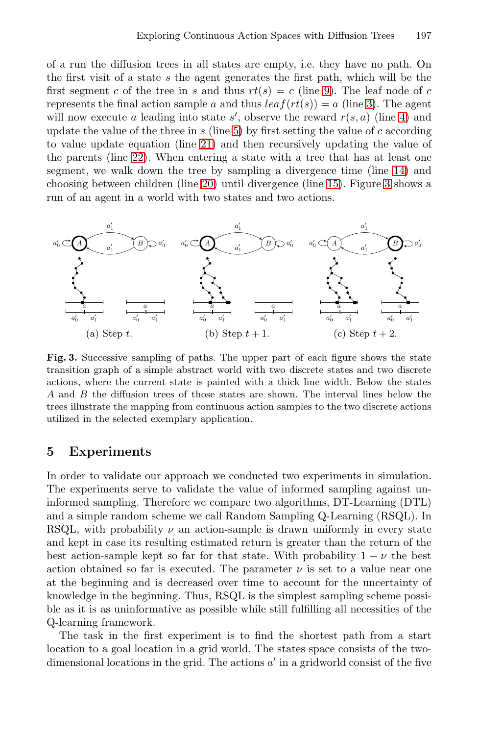of a run the diffusion trees in all states are empty, i.e. they have no path. On the first visit of a state s the agent generates the first path, which will be the first segment c of the tree in s and thus  $rt(s) = c$  (line 9). The leaf node of c represents the final action sample a and thus  $leaf(rt(s)) = a$  (line 3). The agent will now execute a leading into state s', observe the reward  $r(s, a)$  (line 4) and update the value of the three in  $s$  (line 5) by first setting the value of  $c$  according to value update equation (line 21) and then recursively updating the value of the parents (line 22). When entering a state with a tree that has at least one segment, we walk down the tree by sampling a divergence time (line 14) and choosing between children (line 20) until divergence (line 15). Figure 3 shows a run of an agent in a world with two states and two actions.



Fig. 3. Successive sampling of paths. The upper part of each figure shows the state transition graph of a simple abstract world with two discrete states and two discrete actions, where the current state is painted with a thick line width. Below the states A and B the diffusion trees of those states are shown. The interval lines below the trees illustrate the mapping from continuous action samples to the two discrete actions utilized in the selected exemplary application.

### **5 Experiments**

In order to validate our approach we conducted two experiments in simulation. The experiments serve to validate the value of informed sampling against uninformed sampling. Therefore we compare two algorithms, DT-Learning (DTL) and a simple random scheme we call Random Sampling Q-Learning (RSQL). In RSQL, with probability  $\nu$  an action-sample is drawn uniformly in every state and kept in case its resulting estimated return is greater than the return of the best action-sample kept so far for that state. With probability  $1 - \nu$  the best action obtained so far is executed. The parameter  $\nu$  is set to a value near one at the beginning and is decreased over time to account for the uncertainty of knowledge in the beginning. Thus, RSQL is the simplest sampling scheme possible as it is as uninformative as possible while still fulfilling all necessities of the Q-learning framework.

The task in the first experiment is to find the shortest path from a start location to a goal location in a grid world. The states space consists of the twodimensional locations in the grid. The actions  $a'$  in a gridworld consist of the five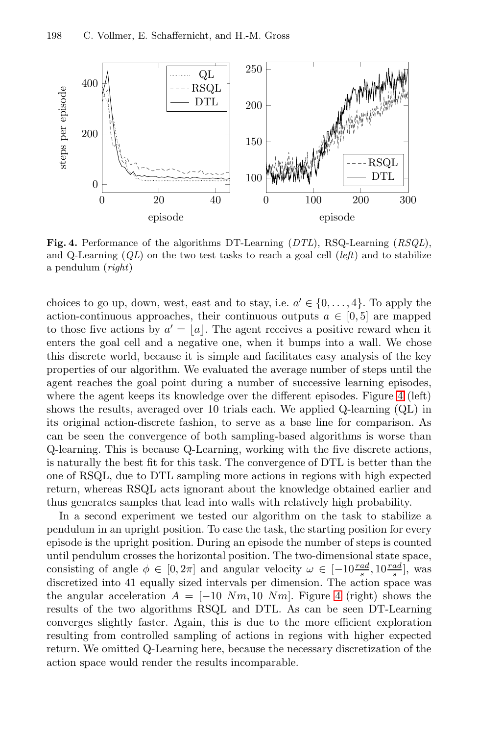

**Fig. 4.** Performance of the algorithms DT-Learning (*DTL*), RSQ-Learning (*RSQL*), and Q-Learning (*QL*) on the two test tasks to reach a goal cell (*left*) and to stabilize a pendulum (*right*)

choices to go up, down, west, east and to stay, i.e.  $a' \in \{0, \ldots, 4\}$ . To apply the action-continuous approaches, their continuous outputs  $a \in [0, 5]$  are mapped to those five actions by  $a' = [a]$ . The agent receives a positive reward when it enters the goal cell and a negative one, when it bumps into a wall. We chose this discrete world, because it is simple and facilitates easy analysis of the key properties of our algorithm. We evaluated the average number of steps until the agent reaches the goal point during a number of successive learning episodes, where the agent keeps its knowledge over the different episodes. Figure 4 (left) shows the results, averaged over 10 trials each. We applied Q-learning (QL) in its original action-discrete fashion, to serve as a base line for comparison. As can be seen the convergence of both sampling-based algorithms is worse than Q-learning. This is because Q-Learning, working with the five discrete actions, is naturally the best fit for this task. The convergence of DTL is better than the one of RSQL, due to DTL sampling more actions in regions with high expected return, whereas RSQL acts ignorant about the knowledge obtained earlier and thus generates samples that lead into walls with relatively high probability.

In a second experiment we tested our algorithm on the task to stabilize a pendulum in an upright position. To ease the task, the starting position for every episode is the upright position. During an episode the number of steps is counted until pendulum crosses the horizontal position. The two-dimensional state space, consisting of angle  $\phi \in [0, 2\pi]$  and angular velocity  $\omega \in [-10\frac{rad}{s}, 10\frac{rad}{s}]$ , was discretized into 41 equally sized intervals per dimension. The action space was the angular acceleration  $A = [-10 Nm, 10 Nm]$ . Figure 4 (right) shows the results of the two algorithms RSQL and DTL. As can be seen DT-Learning converges slightly faster. Again, this is due to the more efficient exploration resulting from controlled sampling of actions in regions with higher expected return. We omitted Q-Learning here, because the necessary discretization of the action space would render the results incomparable.